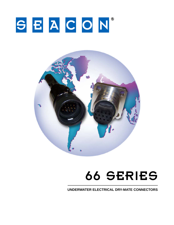# SEACON®



## **66 SERIES**

UNDERWATER ELECTRICAL DRY-MATE CONNECTORS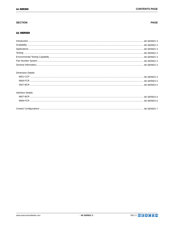## **SECTION**

#### 66 SERIES

| <b>Dimension Details:</b> |  |
|---------------------------|--|
|                           |  |
|                           |  |
|                           |  |
| Interface Details:        |  |
|                           |  |
|                           |  |
|                           |  |



#### **PAGE**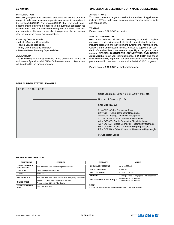#### **INTRODUCTION**

**SEACON** (europe) Ltd is pleased to announce the release of a new range of underwater electrical dry-mate connectors to compliment the existing 55 SERIES. The new 66 SERIES of reverse gender connectors enable power to be applied to the bulkhead connector yet still be safe to use. Manufactured utilizing tried and tested methods and materials, this new range also incorporates shorter locking sleeves to ensure easier mating capability.

Other key features include:-

- · Industry Standard Compatibility
- · Proven Sealing Technology
- · Heavy Duty Stub Acme Threads\*
- · Pressure Rated Blanking Caps available

#### **AVAILABILITY**

The 66 SERIES is currently available in two shell sizes; 16 and 20 with two configurations (8#16/13#16), however more configurations will be added to the range if required.

#### **APPLICATIONS**

This new connector range is suitable for a variety of applications including ROV's, underwater cameras, diver communications, lights and pan and tilts.

#### **TESTING**

Please contact **SEA CON®** for details.

#### **SPECIAL ASSEMBLIES**

**SEA CON®** maintains all facilities necessary to furnish complete underwater and environmental electrical connector/cable systems, including Research and Development, Engineering, Manufacturing, Quality Control and Pressure Testing. As well as supplying our standard 'off-the-shelf' items, we have the capability to design and manufacture **SPECIAL CUSTOMIZED CONNECTORS AND CABLE ASSEMBLIES** to suit your individual needs. **SEA CON®** also prides itself with the ability to perform stringent quality conformance testing procedures which are in accordance with the MIL-SPEC programs.

Please contact  $\text{GEA}$  CON® for further information

#### **PART NUMBER SYSTEM - EXAMPLE**



#### **GENERAL INFORMATION**

| <b>COMPONENT</b>                            | <b>MATERIAL</b>                                                | <b>CATEGORY</b>                                                         | VALUE                           |  |
|---------------------------------------------|----------------------------------------------------------------|-------------------------------------------------------------------------|---------------------------------|--|
| <b>CONNECTOR BODY</b><br><b>BCR/CCP/FCR</b> | 316L Stainless Steel Shell / Neoprene internals                | <b>OPEN FACE PRESSURE</b>                                               | Up to 10,000 psi                |  |
| <b>CONTACTS</b>                             | Gold plated per MIL-G-45204                                    | <b>MATED PRESSURE</b>                                                   | 10,000 psi                      |  |
| O-RING                                      | Nitrile N70                                                    | <b>VOLTAGE RATING</b>                                                   | 600 VDC / 440 VAC               |  |
|                                             |                                                                | <b>CURRENT</b>                                                          | 7 amps (contacts 13 amps) a     |  |
| <b>ENGAGING NUT</b>                         | 316L Stainless Steel coated with special anti-galling compound | <b>BULKHEAD MOUNTING TORQUE</b>                                         | 16 shell size = $125$ inch/lbs* |  |
| <b>IN-LINE CABLE</b>                        | Neoprene. Other materials are also available.                  |                                                                         | 20 shell size = $165$ inch/lbs* |  |
|                                             | Please contact <b>SEA CON®</b> for details                     |                                                                         |                                 |  |
| <b>SPIRAL RETAINING</b><br>RING             | 316L Stainless Steel                                           | NOTE:<br>. * Torque values refers to installation into dry metal thread |                                 |  |

| <b>CATEGORY</b>                 | VALUE                                                              |  |  |
|---------------------------------|--------------------------------------------------------------------|--|--|
| <b>OPEN FACE PRESSURE</b>       | Up to 10,000 psi                                                   |  |  |
| <b>MATED PRESSURE</b>           | 10,000 psi                                                         |  |  |
| <b>VOLTAGE RATING</b>           | 600 VDC / 440 VAC                                                  |  |  |
| <b>CURRENT</b>                  | 7 amps (contacts 13 amps) and cable dependent                      |  |  |
| <b>BULKHEAD MOUNTING TORQUE</b> | 16 shell size = $125$ inch/lbs*<br>20 shell size = $165$ inch/lbs* |  |  |

· \* Torque values refers to installation into dry metal threads.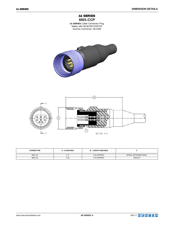

66 SERIES Cable Connector Plug Mates with 66-BCR/CCR/FCR Dummy Connector: 66-DSR





| <b>CONNECTOR</b> | A - Ø (INCHES) | <b>B - LENGTH (INCHES)</b> |                       |
|------------------|----------------|----------------------------|-----------------------|
| 6601-16          |                | 3.04 APPROX                | SPIRAL RETAINING RING |
| 6601-20          | 1.45           | 3.70 APPROX                | <b>CIRCLIP</b>        |



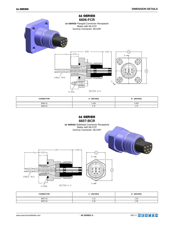

| <b>CONNECTOR</b> | A - (INCHES) | <b>B</b> - (INCHES) |  |  |
|------------------|--------------|---------------------|--|--|
| 6606-16          | 1.625        | 1.625               |  |  |
| 6606-20          | 1.75         | 1.75                |  |  |

### 66 SERIES **6607-BCR**



| <b>CONNECTOR</b> | C - (INCHES)           | <b>D-(INCHES)</b> |  |  |
|------------------|------------------------|-------------------|--|--|
| 6607-16          | $\overline{A}$<br>1.12 | 1.25<br>$\sim$    |  |  |
| 6607-20          | 1.25                   | 1.40              |  |  |

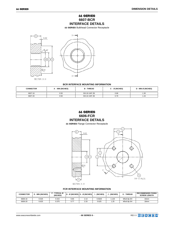## 66 SERIES **6607-BCR INTERFACE DETAILS**

66 SERIES Bulkhead Connector Receptacle



#### **BCR INTERFACE MOUNTING INFORMATION**

| <b>CONNECTOR</b> | - MIN (INCHES) | <b>B-THREAD</b> | C - Ø (INCHES) | <b>D - MIN Ø (INCHES)</b> |
|------------------|----------------|-----------------|----------------|---------------------------|
| 6607-16          | 0.50           | 5/8-18 UNF 2B   | 0.68           | .30                       |
| 6607-20          | 0.50           | 5/8-16 UNF 2B   | 0.79           | .44                       |

## 66 SERIES **6606-FCR INTERFACE DETAILS**

66 SERIES Flange Connector Receptacle



#### **FCR INTERFACE MOUNTING INFORMATION**

| <b>CONNECTOR</b> | $\epsilon$ - MIN (INCHES) | <b>F - TYPICAL Ø</b><br>(INCHES) |      | $ G - \emptyset $ (INCHES) $ H - \emptyset $ (INCHES) $ $ | - (INCHES) | J - (INCHES) | K - THREAD | <b>RECOMMENDED FIXING</b><br><b>SCREW LENGTH</b> |
|------------------|---------------------------|----------------------------------|------|-----------------------------------------------------------|------------|--------------|------------|--------------------------------------------------|
| 6606-16          | 0.525                     | 0.315                            | 0.65 | 2.13                                                      | 0.5625     | .125         | M5x0.8p 6H | 16mm                                             |
| 6606-20          | 0.625                     | 0.375                            | 0.77 | 2.33                                                      | 0.625      | .25          | M5x0.8p 6H | 18 <sub>mm</sub>                                 |

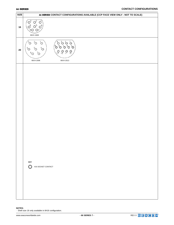